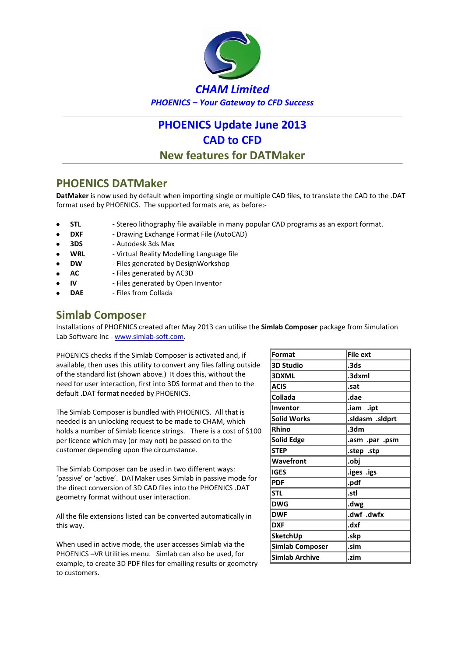

# **PHOENICS Update June 2013 CAD to CFD New features for DATMaker**

### **PHOENICS DATMaker**

**DatMaker** is now used by default when importing single or multiple CAD files, to translate the CAD to the .DAT format used by PHOENICS. The supported formats are, as before:-

- **STL** Stereo lithography file available in many popular CAD programs as an export format.
- **DXF** Drawing Exchange Format File (AutoCAD)
- **3DS** Autodesk 3ds Max
- **WRL** Virtual Reality Modelling Language file
- **DW** Files generated by DesignWorkshop
- **AC** Files generated by AC3D
- **IV** Files generated by Open Inventor
- **DAE** Files from Collada

### **Simlab Composer**

Installations of PHOENICS created after May 2013 can utilise the **Simlab Composer** package from Simulation Lab Software Inc - www.simlab-soft.com.

PHOENICS checks if the Simlab Composer is activated and, if available, then uses this utility to convert any files falling outside of the standard list (shown above.) It does this, without the need for user interaction, first into 3DS format and then to the default .DAT format needed by PHOENICS.

The Simlab Composer is bundled with PHOENICS. All that is needed is an unlocking request to be made to CHAM, which holds a number of Simlab licence strings. There is a cost of \$100 per licence which may (or may not) be passed on to the customer depending upon the circumstance.

The Simlab Composer can be used in two different ways: 'passive' or 'active'. DATMaker uses Simlab in passive mode for the direct conversion of 3D CAD files into the PHOENICS .DAT geometry format without user interaction.

All the file extensions listed can be converted automatically in this way.

When used in active mode, the user accesses Simlab via the PHOENICS –VR Utilities menu. Simlab can also be used, for example, to create 3D PDF files for emailing results or geometry to customers.

| Format                | <b>File ext</b> |  |
|-----------------------|-----------------|--|
| <b>3D Studio</b>      | .3ds            |  |
| <b>3DXML</b>          | .3dxml          |  |
| <b>ACIS</b>           | .sat            |  |
| Collada               | .dae            |  |
| Inventor              | .iam .ipt       |  |
| Solid Works           | sldasm .sldprt. |  |
| Rhino                 | .3dm            |  |
| Solid Edge            | .asm .par .psm  |  |
| <b>STEP</b>           | step .stp.      |  |
| Wavefront             | .obj            |  |
| IGES                  | .iges .igs      |  |
| <b>PDF</b>            | .pdf            |  |
| <b>STL</b>            | .stl            |  |
| <b>DWG</b>            | .dwg            |  |
| <b>DWF</b>            | .dwf .dwfx      |  |
| <b>DXF</b>            | .dxf            |  |
| SketchUp              | .skp            |  |
| Simlab Composer       | .sim            |  |
| <b>Simlab Archive</b> | .zim            |  |